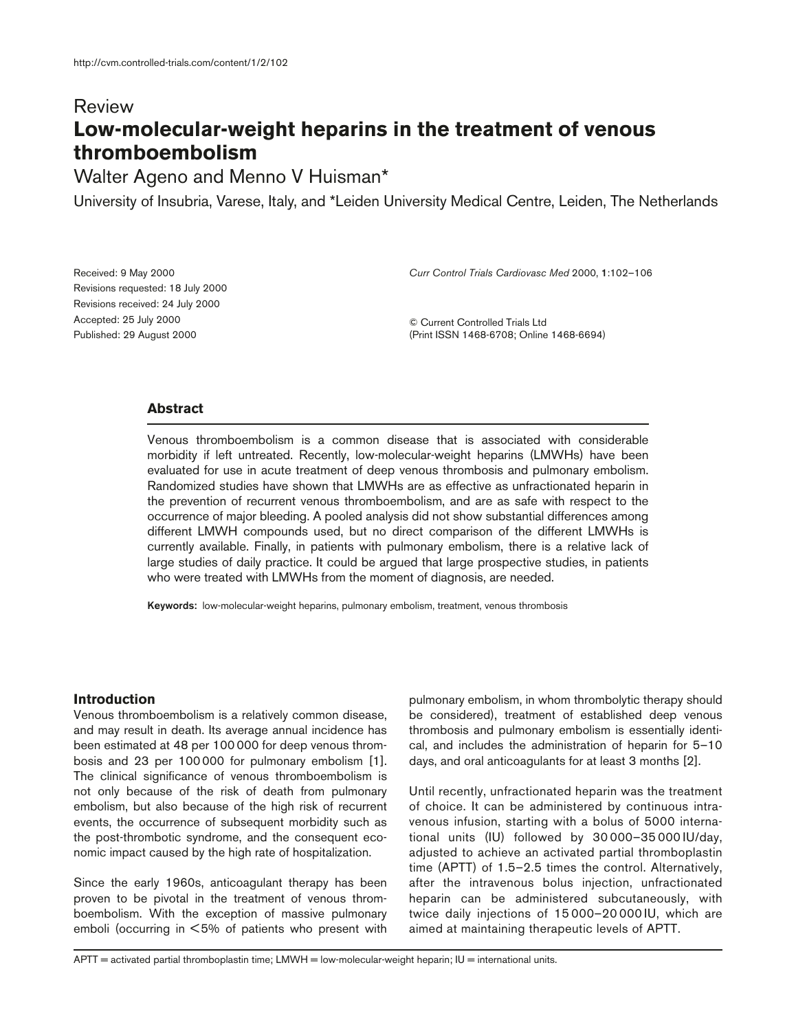# Review **Low-molecular-weight heparins in the treatment of venous thromboembolism**

Walter Ageno and Menno V Huisman\*

University of Insubria, Varese, Italy, and \*Leiden University Medical Centre, Leiden, The Netherlands

| Received: 9 May 2000              |  |
|-----------------------------------|--|
| Revisions requested: 18 July 2000 |  |
| Revisions received: 24 July 2000  |  |
| Accepted: 25 July 2000            |  |
| Published: 29 August 2000         |  |

*Curr Control Trials Cardiovasc Med* 2000, **1**:102–106

© Current Controlled Trials Ltd (Print ISSN 1468-6708; Online 1468-6694)

## **Abstract**

Venous thromboembolism is a common disease that is associated with considerable morbidity if left untreated. Recently, low-molecular-weight heparins (LMWHs) have been evaluated for use in acute treatment of deep venous thrombosis and pulmonary embolism. Randomized studies have shown that LMWHs are as effective as unfractionated heparin in the prevention of recurrent venous thromboembolism, and are as safe with respect to the occurrence of major bleeding. A pooled analysis did not show substantial differences among different LMWH compounds used, but no direct comparison of the different LMWHs is currently available. Finally, in patients with pulmonary embolism, there is a relative lack of large studies of daily practice. It could be argued that large prospective studies, in patients who were treated with LMWHs from the moment of diagnosis, are needed.

**Keywords:** low-molecular-weight heparins, pulmonary embolism, treatment, venous thrombosis

## **Introduction**

Venous thromboembolism is a relatively common disease, and may result in death. Its average annual incidence has been estimated at 48 per 100 000 for deep venous thrombosis and 23 per 100 000 for pulmonary embolism [1]. The clinical significance of venous thromboembolism is not only because of the risk of death from pulmonary embolism, but also because of the high risk of recurrent events, the occurrence of subsequent morbidity such as the post-thrombotic syndrome, and the consequent economic impact caused by the high rate of hospitalization.

Since the early 1960s, anticoagulant therapy has been proven to be pivotal in the treatment of venous thromboembolism. With the exception of massive pulmonary emboli (occurring in < 5% of patients who present with

pulmonary embolism, in whom thrombolytic therapy should be considered), treatment of established deep venous thrombosis and pulmonary embolism is essentially identical, and includes the administration of heparin for 5–10 days, and oral anticoagulants for at least 3 months [2].

Until recently, unfractionated heparin was the treatment of choice. It can be administered by continuous intravenous infusion, starting with a bolus of 5000 international units (IU) followed by 30 000–35 000 IU/day, adjusted to achieve an activated partial thromboplastin time (APTT) of 1.5–2.5 times the control. Alternatively, after the intravenous bolus injection, unfractionated heparin can be administered subcutaneously, with twice daily injections of 15 000–20 000 IU, which are aimed at maintaining therapeutic levels of APTT.

 $APTT =$  activated partial thromboplastin time;  $LMWH =$  low-molecular-weight heparin;  $|U| =$  international units.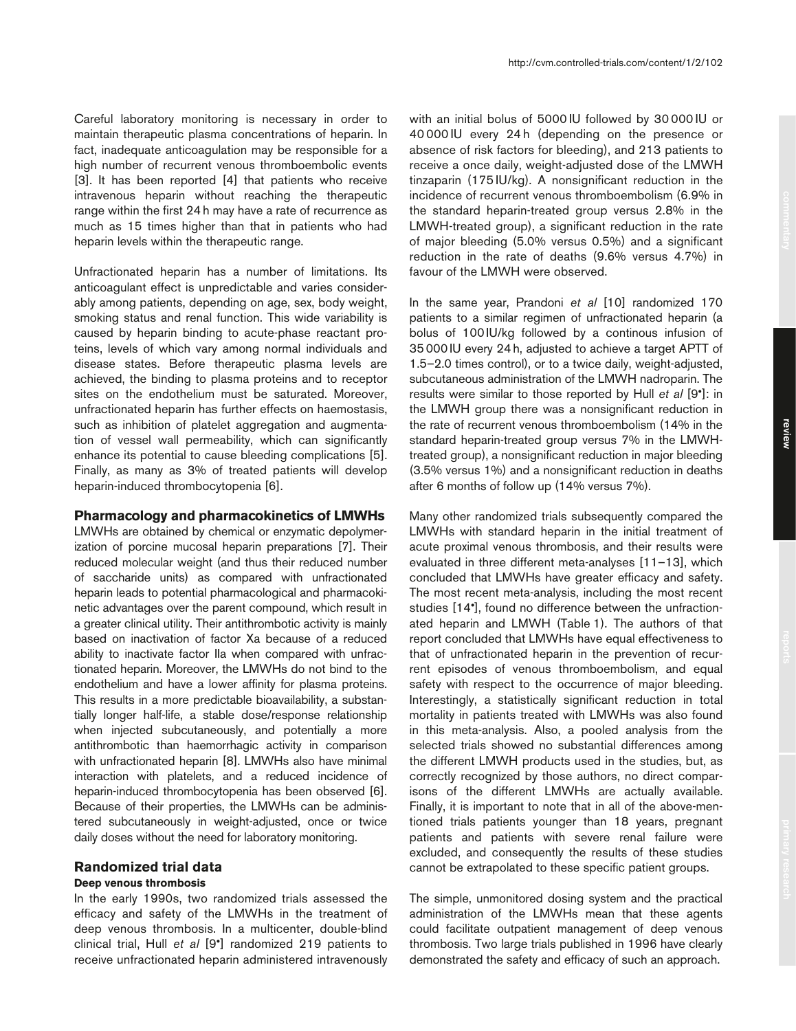Careful laboratory monitoring is necessary in order to maintain therapeutic plasma concentrations of heparin. In fact, inadequate anticoagulation may be responsible for a high number of recurrent venous thromboembolic events [3]. It has been reported [4] that patients who receive intravenous heparin without reaching the therapeutic range within the first 24 h may have a rate of recurrence as much as 15 times higher than that in patients who had heparin levels within the therapeutic range.

Unfractionated heparin has a number of limitations. Its anticoagulant effect is unpredictable and varies considerably among patients, depending on age, sex, body weight, smoking status and renal function. This wide variability is caused by heparin binding to acute-phase reactant proteins, levels of which vary among normal individuals and disease states. Before therapeutic plasma levels are achieved, the binding to plasma proteins and to receptor sites on the endothelium must be saturated. Moreover, unfractionated heparin has further effects on haemostasis, such as inhibition of platelet aggregation and augmentation of vessel wall permeability, which can significantly enhance its potential to cause bleeding complications [5]. Finally, as many as 3% of treated patients will develop heparin-induced thrombocytopenia [6].

## **Pharmacology and pharmacokinetics of LMWHs**

LMWHs are obtained by chemical or enzymatic depolymerization of porcine mucosal heparin preparations [7]. Their reduced molecular weight (and thus their reduced number of saccharide units) as compared with unfractionated heparin leads to potential pharmacological and pharmacokinetic advantages over the parent compound, which result in a greater clinical utility. Their antithrombotic activity is mainly based on inactivation of factor Xa because of a reduced ability to inactivate factor IIa when compared with unfractionated heparin. Moreover, the LMWHs do not bind to the endothelium and have a lower affinity for plasma proteins. This results in a more predictable bioavailability, a substantially longer half-life, a stable dose/response relationship when injected subcutaneously, and potentially a more antithrombotic than haemorrhagic activity in comparison with unfractionated heparin [8]. LMWHs also have minimal interaction with platelets, and a reduced incidence of heparin-induced thrombocytopenia has been observed [6]. Because of their properties, the LMWHs can be administered subcutaneously in weight-adjusted, once or twice daily doses without the need for laboratory monitoring.

# **Randomized trial data**

## **Deep venous thrombosis**

In the early 1990s, two randomized trials assessed the efficacy and safety of the LMWHs in the treatment of deep venous thrombosis. In a multicenter, double-blind clinical trial, Hull *et al* [9•] randomized 219 patients to receive unfractionated heparin administered intravenously with an initial bolus of 5000 IU followed by 30 000 IU or 40 000 IU every 24 h (depending on the presence or absence of risk factors for bleeding), and 213 patients to receive a once daily, weight-adjusted dose of the LMWH tinzaparin (175 IU/kg). A nonsignificant reduction in the incidence of recurrent venous thromboembolism (6.9% in the standard heparin-treated group versus 2.8% in the LMWH-treated group), a significant reduction in the rate of major bleeding (5.0% versus 0.5%) and a significant reduction in the rate of deaths (9.6% versus 4.7%) in favour of the LMWH were observed.

In the same year, Prandoni *et al* [10] randomized 170 patients to a similar regimen of unfractionated heparin (a bolus of 100IU/kg followed by a continous infusion of 35000IU every 24h, adjusted to achieve a target APTT of 1.5–2.0 times control), or to a twice daily, weight-adjusted, subcutaneous administration of the LMWH nadroparin. The results were similar to those reported by Hull *et al* [9•]: in the LMWH group there was a nonsignificant reduction in the rate of recurrent venous thromboembolism (14% in the standard heparin-treated group versus 7% in the LMWHtreated group), a nonsignificant reduction in major bleeding (3.5% versus 1%) and a nonsignificant reduction in deaths after 6 months of follow up (14% versus 7%).

Many other randomized trials subsequently compared the LMWHs with standard heparin in the initial treatment of acute proximal venous thrombosis, and their results were evaluated in three different meta-analyses [11–13], which concluded that LMWHs have greater efficacy and safety. The most recent meta-analysis, including the most recent studies [14•], found no difference between the unfractionated heparin and LMWH (Table 1). The authors of that report concluded that LMWHs have equal effectiveness to that of unfractionated heparin in the prevention of recurrent episodes of venous thromboembolism, and equal safety with respect to the occurrence of major bleeding. Interestingly, a statistically significant reduction in total mortality in patients treated with LMWHs was also found in this meta-analysis. Also, a pooled analysis from the selected trials showed no substantial differences among the different LMWH products used in the studies, but, as correctly recognized by those authors, no direct comparisons of the different LMWHs are actually available. Finally, it is important to note that in all of the above-mentioned trials patients younger than 18 years, pregnant patients and patients with severe renal failure were excluded, and consequently the results of these studies cannot be extrapolated to these specific patient groups.

The simple, unmonitored dosing system and the practical administration of the LMWHs mean that these agents could facilitate outpatient management of deep venous thrombosis. Two large trials published in 1996 have clearly demonstrated the safety and efficacy of such an approach.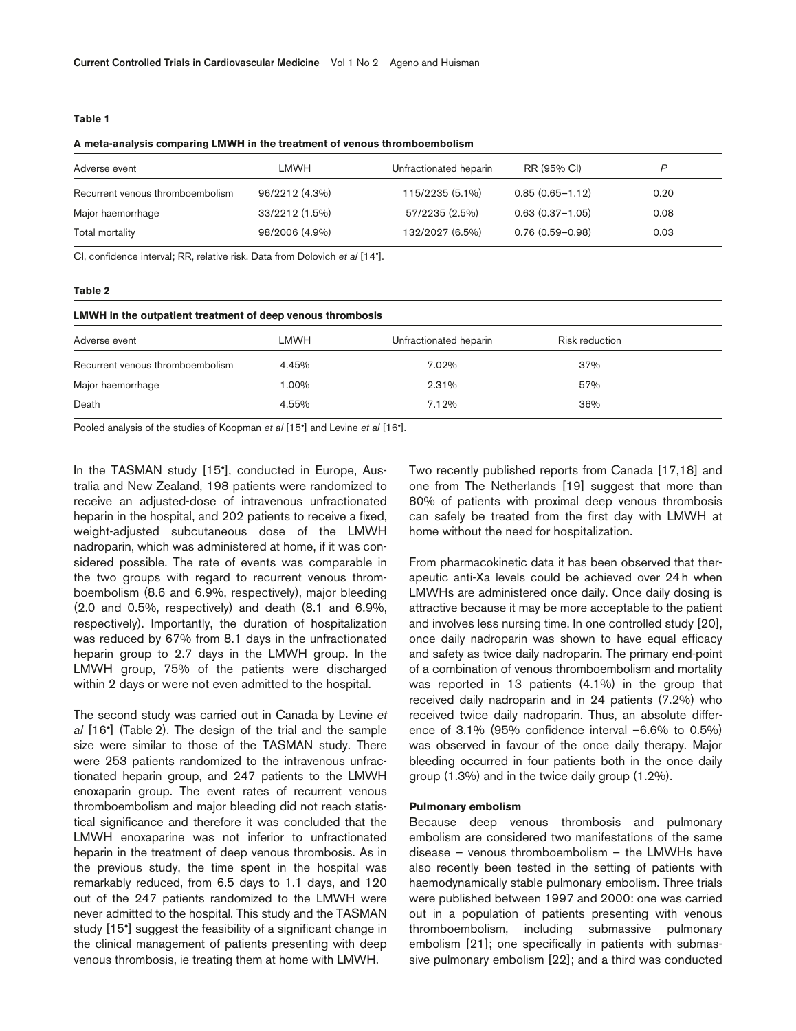|--|--|--|--|--|

| A meta-analysis comparing LMWH in the treatment of venous thromboembolism |                |                        |                     |      |  |  |  |
|---------------------------------------------------------------------------|----------------|------------------------|---------------------|------|--|--|--|
| Adverse event                                                             | LMWH           | Unfractionated heparin | RR (95% CI)         | P    |  |  |  |
| Recurrent venous thromboembolism                                          | 96/2212 (4.3%) | 115/2235 (5.1%)        | $0.85(0.65 - 1.12)$ | 0.20 |  |  |  |
| Major haemorrhage                                                         | 33/2212 (1.5%) | 57/2235 (2.5%)         | $0.63(0.37 - 1.05)$ | 0.08 |  |  |  |
| Total mortality                                                           | 98/2006 (4.9%) | 132/2027 (6.5%)        | $0.76(0.59 - 0.98)$ | 0.03 |  |  |  |

CI, confidence interval; RR, relative risk. Data from Dolovich *et al* [14•].

#### **Table 2**

### **LMWH in the outpatient treatment of deep venous thrombosis**

| Adverse event                    | LMWH   | Unfractionated heparin | Risk reduction |  |
|----------------------------------|--------|------------------------|----------------|--|
| Recurrent venous thromboembolism | 4.45%  | 7.02%                  | 37%            |  |
| Major haemorrhage                | 00%، ا | 2.31%                  | 57%            |  |
| Death                            | 4.55%  | 7.12%                  | 36%            |  |

Pooled analysis of the studies of Koopman *et al* [15•] and Levine *et al* [16•].

In the TASMAN study [15•], conducted in Europe, Australia and New Zealand, 198 patients were randomized to receive an adjusted-dose of intravenous unfractionated heparin in the hospital, and 202 patients to receive a fixed, weight-adjusted subcutaneous dose of the LMWH nadroparin, which was administered at home, if it was considered possible. The rate of events was comparable in the two groups with regard to recurrent venous thromboembolism (8.6 and 6.9%, respectively), major bleeding (2.0 and 0.5%, respectively) and death (8.1 and 6.9%, respectively). Importantly, the duration of hospitalization was reduced by 67% from 8.1 days in the unfractionated heparin group to 2.7 days in the LMWH group. In the LMWH group, 75% of the patients were discharged within 2 days or were not even admitted to the hospital.

The second study was carried out in Canada by Levine *et al* [16•] (Table 2). The design of the trial and the sample size were similar to those of the TASMAN study. There were 253 patients randomized to the intravenous unfractionated heparin group, and 247 patients to the LMWH enoxaparin group. The event rates of recurrent venous thromboembolism and major bleeding did not reach statistical significance and therefore it was concluded that the LMWH enoxaparine was not inferior to unfractionated heparin in the treatment of deep venous thrombosis. As in the previous study, the time spent in the hospital was remarkably reduced, from 6.5 days to 1.1 days, and 120 out of the 247 patients randomized to the LMWH were never admitted to the hospital. This study and the TASMAN study [15•] suggest the feasibility of a significant change in the clinical management of patients presenting with deep venous thrombosis, ie treating them at home with LMWH.

Two recently published reports from Canada [17,18] and one from The Netherlands [19] suggest that more than 80% of patients with proximal deep venous thrombosis can safely be treated from the first day with LMWH at home without the need for hospitalization.

From pharmacokinetic data it has been observed that therapeutic anti-Xa levels could be achieved over 24h when LMWHs are administered once daily. Once daily dosing is attractive because it may be more acceptable to the patient and involves less nursing time. In one controlled study [20], once daily nadroparin was shown to have equal efficacy and safety as twice daily nadroparin. The primary end-point of a combination of venous thromboembolism and mortality was reported in 13 patients (4.1%) in the group that received daily nadroparin and in 24 patients (7.2%) who received twice daily nadroparin. Thus, an absolute difference of 3.1% (95% confidence interval –6.6% to 0.5%) was observed in favour of the once daily therapy. Major bleeding occurred in four patients both in the once daily group (1.3%) and in the twice daily group (1.2%).

#### **Pulmonary embolism**

Because deep venous thrombosis and pulmonary embolism are considered two manifestations of the same disease – venous thromboembolism – the LMWHs have also recently been tested in the setting of patients with haemodynamically stable pulmonary embolism. Three trials were published between 1997 and 2000: one was carried out in a population of patients presenting with venous thromboembolism, including submassive pulmonary embolism [21]; one specifically in patients with submassive pulmonary embolism [22]; and a third was conducted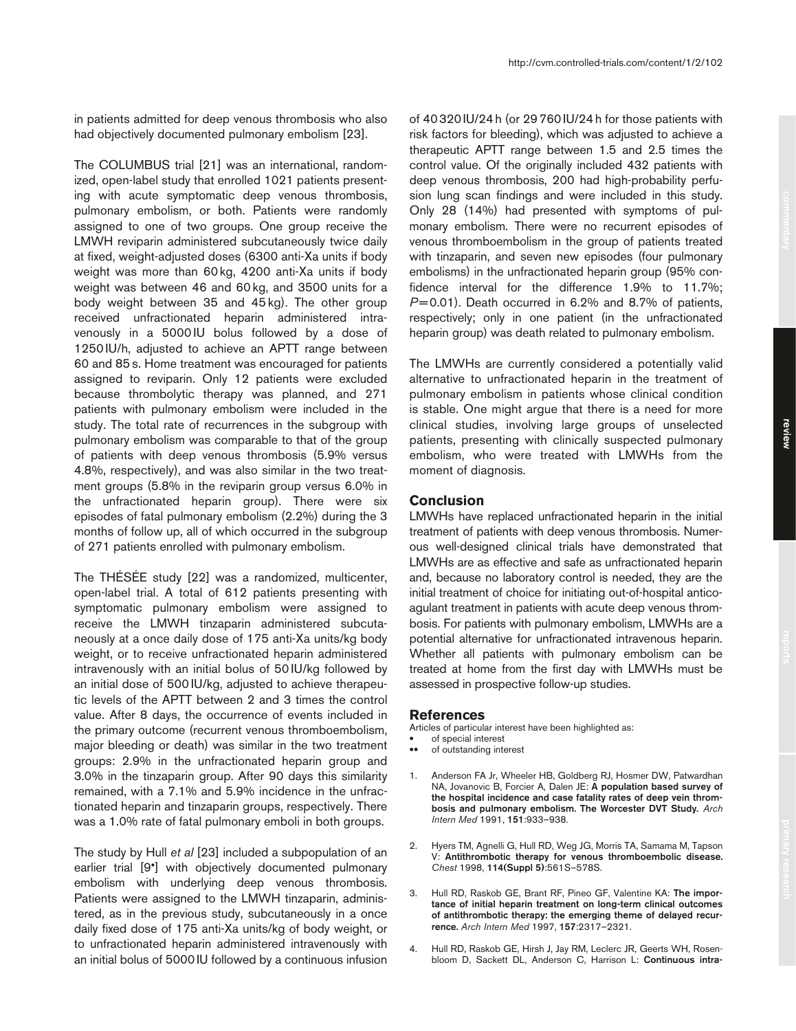in patients admitted for deep venous thrombosis who also had objectively documented pulmonary embolism [23].

The COLUMBUS trial [21] was an international, randomized, open-label study that enrolled 1021 patients presenting with acute symptomatic deep venous thrombosis, pulmonary embolism, or both. Patients were randomly assigned to one of two groups. One group receive the LMWH reviparin administered subcutaneously twice daily at fixed, weight-adjusted doses (6300 anti-Xa units if body weight was more than 60 kg, 4200 anti-Xa units if body weight was between 46 and 60 kg, and 3500 units for a body weight between 35 and 45 kg). The other group received unfractionated heparin administered intravenously in a 5000 IU bolus followed by a dose of 1250 IU/h, adjusted to achieve an APTT range between 60 and 85 s. Home treatment was encouraged for patients assigned to reviparin. Only 12 patients were excluded because thrombolytic therapy was planned, and 271 patients with pulmonary embolism were included in the study. The total rate of recurrences in the subgroup with pulmonary embolism was comparable to that of the group of patients with deep venous thrombosis (5.9% versus 4.8%, respectively), and was also similar in the two treatment groups (5.8% in the reviparin group versus 6.0% in the unfractionated heparin group). There were six episodes of fatal pulmonary embolism (2.2%) during the 3 months of follow up, all of which occurred in the subgroup of 271 patients enrolled with pulmonary embolism.

The THÉSÉE study [22] was a randomized, multicenter, open-label trial. A total of 612 patients presenting with symptomatic pulmonary embolism were assigned to receive the LMWH tinzaparin administered subcutaneously at a once daily dose of 175 anti-Xa units/kg body weight, or to receive unfractionated heparin administered intravenously with an initial bolus of 50 IU/kg followed by an initial dose of 500 IU/kg, adjusted to achieve therapeutic levels of the APTT between 2 and 3 times the control value. After 8 days, the occurrence of events included in the primary outcome (recurrent venous thromboembolism, major bleeding or death) was similar in the two treatment groups: 2.9% in the unfractionated heparin group and 3.0% in the tinzaparin group. After 90 days this similarity remained, with a 7.1% and 5.9% incidence in the unfractionated heparin and tinzaparin groups, respectively. There was a 1.0% rate of fatal pulmonary emboli in both groups.

The study by Hull *et al* [23] included a subpopulation of an earlier trial [9•] with objectively documented pulmonary embolism with underlying deep venous thrombosis. Patients were assigned to the LMWH tinzaparin, administered, as in the previous study, subcutaneously in a once daily fixed dose of 175 anti-Xa units/kg of body weight, or to unfractionated heparin administered intravenously with an initial bolus of 5000IU followed by a continuous infusion of 40320IU/24h (or 29760IU/24h for those patients with risk factors for bleeding), which was adjusted to achieve a therapeutic APTT range between 1.5 and 2.5 times the control value. Of the originally included 432 patients with deep venous thrombosis, 200 had high-probability perfusion lung scan findings and were included in this study. Only 28 (14%) had presented with symptoms of pulmonary embolism. There were no recurrent episodes of venous thromboembolism in the group of patients treated with tinzaparin, and seven new episodes (four pulmonary embolisms) in the unfractionated heparin group (95% confidence interval for the difference 1.9% to 11.7%; *P*=0.01). Death occurred in 6.2% and 8.7% of patients, respectively; only in one patient (in the unfractionated heparin group) was death related to pulmonary embolism.

The LMWHs are currently considered a potentially valid alternative to unfractionated heparin in the treatment of pulmonary embolism in patients whose clinical condition is stable. One might argue that there is a need for more clinical studies, involving large groups of unselected patients, presenting with clinically suspected pulmonary embolism, who were treated with LMWHs from the moment of diagnosis.

### **Conclusion**

LMWHs have replaced unfractionated heparin in the initial treatment of patients with deep venous thrombosis. Numerous well-designed clinical trials have demonstrated that LMWHs are as effective and safe as unfractionated heparin and, because no laboratory control is needed, they are the initial treatment of choice for initiating out-of-hospital anticoagulant treatment in patients with acute deep venous thrombosis. For patients with pulmonary embolism, LMWHs are a potential alternative for unfractionated intravenous heparin. Whether all patients with pulmonary embolism can be treated at home from the first day with LMWHs must be assessed in prospective follow-up studies.

#### **References**

Articles of particular interest have been highlighted as: of special interest

- of outstanding interest
- 1. Anderson FA Jr, Wheeler HB, Goldberg RJ, Hosmer DW, Patwardhan NA, Jovanovic B, Forcier A, Dalen JE: **A population based survey of the hospital incidence and case fatality rates of deep vein thrombosis and pulmonary embolism. The Worcester DVT Study***. Arch Intern Med* 1991, **151**:933–938.
- 2. Hyers TM, Agnelli G, Hull RD, Weg JG, Morris TA, Samama M, Tapson V: **Antithrombotic therapy for venous thromboembolic disease.** *Chest* 1998, **114(Suppl 5)**:561S–578S.
- 3. Hull RD, Raskob GE, Brant RF, Pineo GF, Valentine KA: **The importance of initial heparin treatment on long-term clinical outcomes of antithrombotic therapy: the emerging theme of delayed recurrence.** *Arch Intern Med* 1997, **157**:2317–2321.
- 4. Hull RD, Raskob GE, Hirsh J, Jay RM, Leclerc JR, Geerts WH, Rosenbloom D, Sackett DL, Anderson C, Harrison L: **Continuous intra-**